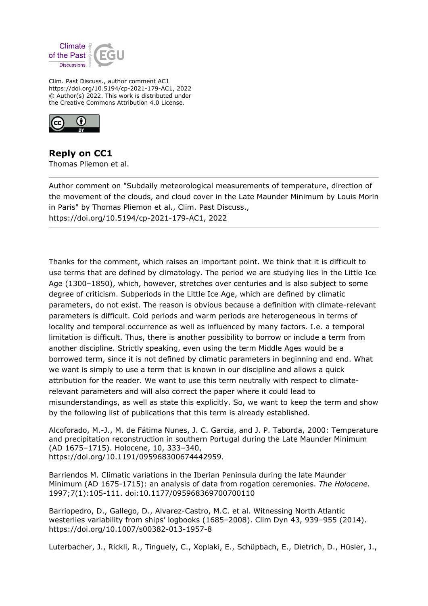

Clim. Past Discuss., author comment AC1 https://doi.org/10.5194/cp-2021-179-AC1, 2022 © Author(s) 2022. This work is distributed under the Creative Commons Attribution 4.0 License.



**Reply on CC1** Thomas Pliemon et al.

Author comment on "Subdaily meteorological measurements of temperature, direction of the movement of the clouds, and cloud cover in the Late Maunder Minimum by Louis Morin in Paris" by Thomas Pliemon et al., Clim. Past Discuss., https://doi.org/10.5194/cp-2021-179-AC1, 2022

Thanks for the comment, which raises an important point. We think that it is difficult to use terms that are defined by climatology. The period we are studying lies in the Little Ice Age (1300–1850), which, however, stretches over centuries and is also subject to some degree of criticism. Subperiods in the Little Ice Age, which are defined by climatic parameters, do not exist. The reason is obvious because a definition with climate-relevant parameters is difficult. Cold periods and warm periods are heterogeneous in terms of locality and temporal occurrence as well as influenced by many factors. I.e. a temporal limitation is difficult. Thus, there is another possibility to borrow or include a term from another discipline. Strictly speaking, even using the term Middle Ages would be a borrowed term, since it is not defined by climatic parameters in beginning and end. What we want is simply to use a term that is known in our discipline and allows a quick attribution for the reader. We want to use this term neutrally with respect to climaterelevant parameters and will also correct the paper where it could lead to misunderstandings, as well as state this explicitly. So, we want to keep the term and show by the following list of publications that this term is already established.

Alcoforado, M.-J., M. de Fátima Nunes, J. C. Garcia, and J. P. Taborda, 2000: Temperature and precipitation reconstruction in southern Portugal during the Late Maunder Minimum (AD 1675–1715). Holocene, 10, 333–340, https://doi.org/10.1191/095968300674442959.

Barriendos M. Climatic variations in the Iberian Peninsula during the late Maunder Minimum (AD 1675-1715): an analysis of data from rogation ceremonies. *The Holocene*. 1997;7(1):105-111. doi:10.1177/095968369700700110

Barriopedro, D., Gallego, D., Alvarez-Castro, M.C. et al. Witnessing North Atlantic westerlies variability from ships' logbooks (1685–2008). Clim Dyn 43, 939–955 (2014). https://doi.org/10.1007/s00382-013-1957-8

Luterbacher, J., Rickli, R., Tinguely, C., Xoplaki, E., Schüpbach, E., Dietrich, D., Hüsler, J.,